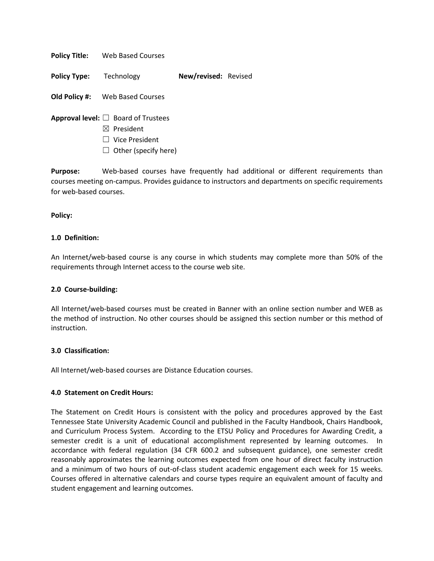**Policy Title:** Web Based Courses

**Policy Type:** Technology **New/revised:** Revised

**Old Policy #:** Web Based Courses

- **Approval level:** ☐ Board of Trustees
	- ☒ President
	- ☐ Vice President
	- $\Box$  Other (specify here)

**Purpose:** Web-based courses have frequently had additional or different requirements than courses meeting on-campus. Provides guidance to instructors and departments on specific requirements for web-based courses.

### **Policy:**

### **1.0 Definition:**

An Internet/web-based course is any course in which students may complete more than 50% of the requirements through Internet access to the course web site.

#### **2.0 Course-building:**

All Internet/web-based courses must be created in Banner with an online section number and WEB as the method of instruction. No other courses should be assigned this section number or this method of instruction.

#### **3.0 Classification:**

All Internet/web-based courses are Distance Education courses.

#### **4.0 Statement on Credit Hours:**

The Statement on Credit Hours is consistent with the policy and procedures approved by the East Tennessee State University Academic Council and published in the Faculty Handbook, Chairs Handbook, and Curriculum Process System. According to the ETSU Policy and Procedures for Awarding Credit, a semester credit is a unit of educational accomplishment represented by learning outcomes. In accordance with federal regulation (34 CFR 600.2 and subsequent guidance), one semester credit reasonably approximates the learning outcomes expected from one hour of direct faculty instruction and a minimum of two hours of out-of-class student academic engagement each week for 15 weeks. Courses offered in alternative calendars and course types require an equivalent amount of faculty and student engagement and learning outcomes.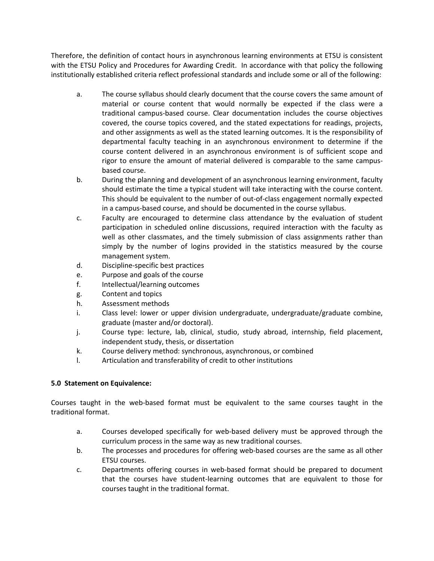Therefore, the definition of contact hours in asynchronous learning environments at ETSU is consistent with the ETSU Policy and Procedures for Awarding Credit. In accordance with that policy the following institutionally established criteria reflect professional standards and include some or all of the following:

- a. The course syllabus should clearly document that the course covers the same amount of material or course content that would normally be expected if the class were a traditional campus-based course. Clear documentation includes the course objectives covered, the course topics covered, and the stated expectations for readings, projects, and other assignments as well as the stated learning outcomes. It is the responsibility of departmental faculty teaching in an asynchronous environment to determine if the course content delivered in an asynchronous environment is of sufficient scope and rigor to ensure the amount of material delivered is comparable to the same campusbased course.
- b. During the planning and development of an asynchronous learning environment, faculty should estimate the time a typical student will take interacting with the course content. This should be equivalent to the number of out-of-class engagement normally expected in a campus-based course, and should be documented in the course syllabus.
- c. Faculty are encouraged to determine class attendance by the evaluation of student participation in scheduled online discussions, required interaction with the faculty as well as other classmates, and the timely submission of class assignments rather than simply by the number of logins provided in the statistics measured by the course management system.
- d. Discipline-specific best practices
- e. Purpose and goals of the course
- f. Intellectual/learning outcomes
- g. Content and topics
- h. Assessment methods
- i. Class level: lower or upper division undergraduate, undergraduate/graduate combine, graduate (master and/or doctoral).
- j. Course type: lecture, lab, clinical, studio, study abroad, internship, field placement, independent study, thesis, or dissertation
- k. Course delivery method: synchronous, asynchronous, or combined
- l. Articulation and transferability of credit to other institutions

# **5.0 Statement on Equivalence:**

Courses taught in the web-based format must be equivalent to the same courses taught in the traditional format.

- a. Courses developed specifically for web-based delivery must be approved through the curriculum process in the same way as new traditional courses.
- b. The processes and procedures for offering web-based courses are the same as all other ETSU courses.
- c. Departments offering courses in web-based format should be prepared to document that the courses have student-learning outcomes that are equivalent to those for courses taught in the traditional format.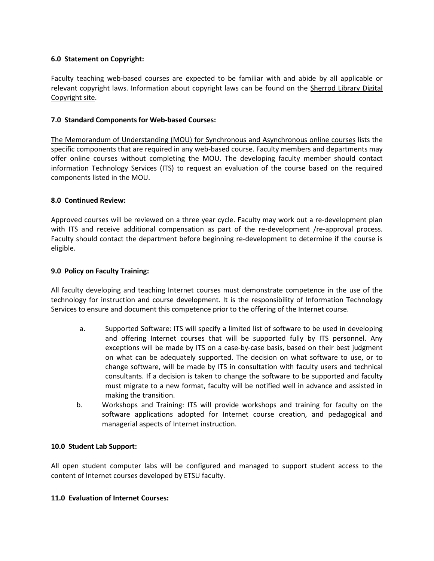# **6.0 Statement on Copyright:**

Faculty teaching web-based courses are expected to be familiar with and abide by all applicable or relevant copyright laws. Information about copyright laws can be found on the [Sherrod Library Digital](http://libguides.etsu.edu/copyright)  [Copyright site.](http://libguides.etsu.edu/copyright)

### **7.0 Standard Components for Web-based Courses:**

[The Memorandum of Understanding \(MOU\) for Synchronous and Asynchronous online courses](http://www.etsu.edu/onlinehelp/course_development/mou.php) lists the specific components that are required in any web-based course. Faculty members and departments may offer online courses without completing the MOU. The developing faculty member should contact information Technology Services (ITS) to request an evaluation of the course based on the required components listed in the MOU.

### **8.0 Continued Review:**

Approved courses will be reviewed on a three year cycle. Faculty may work out a re-development plan with ITS and receive additional compensation as part of the re-development /re-approval process. Faculty should contact the department before beginning re-development to determine if the course is eligible.

### **9.0 Policy on Faculty Training:**

All faculty developing and teaching Internet courses must demonstrate competence in the use of the technology for instruction and course development. It is the responsibility of Information Technology Services to ensure and document this competence prior to the offering of the Internet course.

- a. Supported Software: ITS will specify a limited list of software to be used in developing and offering Internet courses that will be supported fully by ITS personnel. Any exceptions will be made by ITS on a case-by-case basis, based on their best judgment on what can be adequately supported. The decision on what software to use, or to change software, will be made by ITS in consultation with faculty users and technical consultants. If a decision is taken to change the software to be supported and faculty must migrate to a new format, faculty will be notified well in advance and assisted in making the transition.
- b. Workshops and Training: ITS will provide workshops and training for faculty on the software applications adopted for Internet course creation, and pedagogical and managerial aspects of Internet instruction.

### **10.0 Student Lab Support:**

All open student computer labs will be configured and managed to support student access to the content of Internet courses developed by ETSU faculty.

#### **11.0 Evaluation of Internet Courses:**